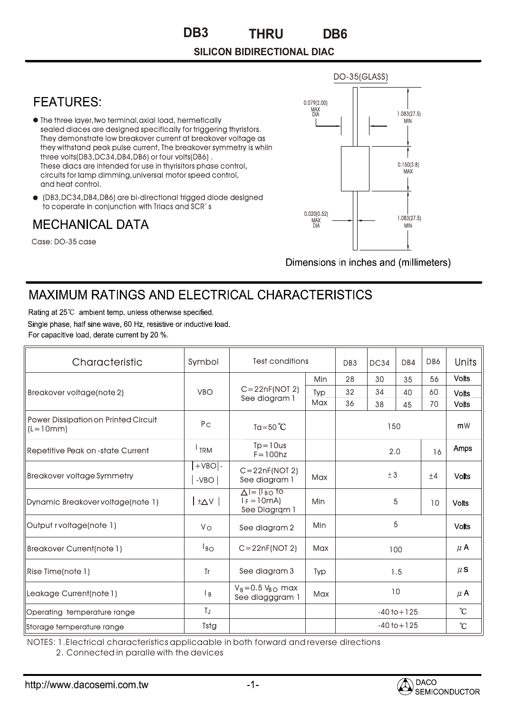## **SILICON BIDIRECTIONAL DIAC**



Dimensions in inches and (millimeters)

## MAXIMUM RATINGS AND ELECTRICAL CHARACTERISTICS

Rating at 25°C ambient temp, unless otherwise specified. Single phase, half sine wave, 60 Hz, resistive or inductive load. For capacitive load, derate current by 20 %.

| Characteristic                                            | Symbol                             | <b>Test conditions</b>                                          |            | DB <sub>3</sub> | <b>DC34</b> | DB4 | DB6             | Units        |
|-----------------------------------------------------------|------------------------------------|-----------------------------------------------------------------|------------|-----------------|-------------|-----|-----------------|--------------|
| Breakover voltage(note 2)                                 | <b>VBO</b>                         | $C = 22nF(NOT 2)$<br>See diagram 1                              | Min        | 28              | 30          | 35  | 56              | <b>Volts</b> |
|                                                           |                                    |                                                                 | Typ        | 32              | 34          | 40  | 60              | <b>Volts</b> |
|                                                           |                                    |                                                                 | Max        | 36              | 38          | 45  | 70              | <b>Volts</b> |
| <b>Power Dissipation on Printed Circuit</b><br>$(L=10mm)$ | P <sub>C</sub>                     | Ta=50 $^{\circ}$ C                                              |            | 150             |             |     |                 | mW           |
| <b>Repetitive Peak on -state Current</b>                  | <sup>I</sup> TRM                   | $Tp = 10$ us<br>$F = 100$ hz                                    |            | 2.0             |             |     | 16              | Amps         |
| <b>Breakover voltage Symmetry</b>                         | $+VBO$ -<br>$-VBO$                 | $C = 22nF(NOT 2)$<br>See diagram 1                              | Max        | ± 3             |             |     | $+4$            | <b>Volts</b> |
| Dynamic Breakover voltage(note 1)                         | $\vert \vee \triangle^{\pm} \vert$ | $\Delta$ I = (I $_{\rm BO}$ to<br>$I_F = 10mA$<br>See Diagram 1 | Min        | 5               |             | 10  | <b>Volts</b>    |              |
| Output rvoltage(note 1)                                   | Vo                                 | See diagram 2                                                   | Min        | 5               |             |     | <b>Volts</b>    |              |
| <b>Breakover Current(note 1)</b>                          | $I_{BO}$                           | $C = 22nF(NOT 2)$                                               | Max        | 100             |             |     |                 | $\mu$ A      |
| Rise Time(note 1)                                         | Tr                                 | See diagram 3                                                   | <b>Typ</b> | 1.5             |             |     | $\mu$ S         |              |
| Leakage Current(note 1)                                   | B                                  | $V_B = 0.5 V_{BO}$ max<br>See diagggram 1                       | <b>Max</b> | 10              |             |     | $\mu$ A         |              |
| Operating temperature range                               | TJ                                 |                                                                 |            | $-40$ to $+125$ |             |     | $\rm ^{\circ}C$ |              |
| Storage temperature range                                 | Tstg                               |                                                                 |            | $-40$ to $+125$ |             |     | °C              |              |

NOTES: 1.Electrical characteristics applicaable in both forward and reverse directions 2. Connected in paralle with the devices